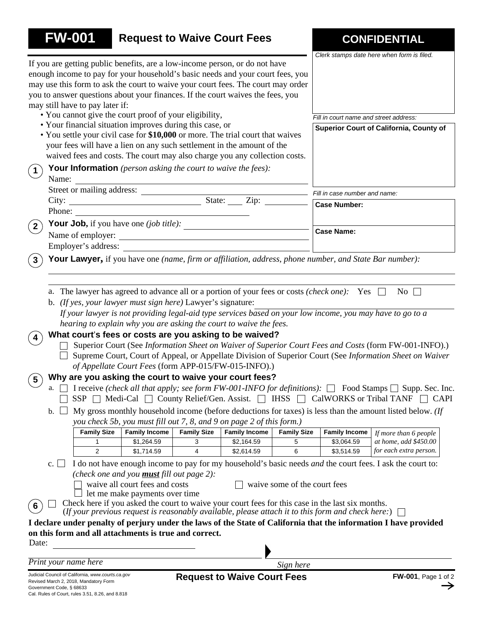| <b>FW-001</b>              |                                 | <b>Request to Waive Court Fees</b>                                                                                                                                                                                                                                                                                                  |                                              |                      |                              |                                                                                                                                                                                                              | <b>CONFIDENTIAL</b>                                                                                                                                                                                                                                                                                                                                                                                                                                                                                                                                     |
|----------------------------|---------------------------------|-------------------------------------------------------------------------------------------------------------------------------------------------------------------------------------------------------------------------------------------------------------------------------------------------------------------------------------|----------------------------------------------|----------------------|------------------------------|--------------------------------------------------------------------------------------------------------------------------------------------------------------------------------------------------------------|---------------------------------------------------------------------------------------------------------------------------------------------------------------------------------------------------------------------------------------------------------------------------------------------------------------------------------------------------------------------------------------------------------------------------------------------------------------------------------------------------------------------------------------------------------|
|                            | may still have to pay later if: | If you are getting public benefits, are a low-income person, or do not have<br>enough income to pay for your household's basic needs and your court fees, you<br>may use this form to ask the court to waive your court fees. The court may order<br>you to answer questions about your finances. If the court waives the fees, you |                                              |                      |                              |                                                                                                                                                                                                              | Clerk stamps date here when form is filed.                                                                                                                                                                                                                                                                                                                                                                                                                                                                                                              |
|                            |                                 | • You cannot give the court proof of your eligibility,                                                                                                                                                                                                                                                                              |                                              |                      |                              | Fill in court name and street address:                                                                                                                                                                       |                                                                                                                                                                                                                                                                                                                                                                                                                                                                                                                                                         |
|                            |                                 | • Your financial situation improves during this case, or                                                                                                                                                                                                                                                                            |                                              |                      |                              |                                                                                                                                                                                                              | Superior Court of California, County of                                                                                                                                                                                                                                                                                                                                                                                                                                                                                                                 |
|                            |                                 | • You settle your civil case for \$10,000 or more. The trial court that waives<br>your fees will have a lien on any such settlement in the amount of the<br>waived fees and costs. The court may also charge you any collection costs.                                                                                              |                                              |                      |                              |                                                                                                                                                                                                              |                                                                                                                                                                                                                                                                                                                                                                                                                                                                                                                                                         |
| $\left( 1\right)$<br>Name: |                                 | <b>Your Information</b> (person asking the court to waive the fees):                                                                                                                                                                                                                                                                |                                              |                      |                              |                                                                                                                                                                                                              |                                                                                                                                                                                                                                                                                                                                                                                                                                                                                                                                                         |
|                            |                                 |                                                                                                                                                                                                                                                                                                                                     |                                              |                      |                              | Fill in case number and name:                                                                                                                                                                                |                                                                                                                                                                                                                                                                                                                                                                                                                                                                                                                                                         |
|                            |                                 |                                                                                                                                                                                                                                                                                                                                     |                                              |                      |                              | <b>Case Number:</b>                                                                                                                                                                                          |                                                                                                                                                                                                                                                                                                                                                                                                                                                                                                                                                         |
|                            | Phone:                          |                                                                                                                                                                                                                                                                                                                                     | <u> 1989 - Johann Barn, fransk politik (</u> |                      |                              |                                                                                                                                                                                                              |                                                                                                                                                                                                                                                                                                                                                                                                                                                                                                                                                         |
| $^{\prime}$ 2 $^{\prime}$  |                                 | Your Job, if you have one $(job title)$ :                                                                                                                                                                                                                                                                                           |                                              |                      |                              | <b>Case Name:</b>                                                                                                                                                                                            |                                                                                                                                                                                                                                                                                                                                                                                                                                                                                                                                                         |
|                            |                                 | Name of employer:                                                                                                                                                                                                                                                                                                                   |                                              |                      |                              |                                                                                                                                                                                                              |                                                                                                                                                                                                                                                                                                                                                                                                                                                                                                                                                         |
| $\sqrt{3}$                 |                                 |                                                                                                                                                                                                                                                                                                                                     |                                              |                      |                              | Your Lawyer, if you have one (name, firm or affiliation, address, phone number, and State Bar number):                                                                                                       |                                                                                                                                                                                                                                                                                                                                                                                                                                                                                                                                                         |
| 4<br>$\sqrt{5}$<br>a.      |                                 | b. (If yes, your lawyer must sign here) Lawyer's signature:<br>hearing to explain why you are asking the court to waive the fees.<br>What court's fees or costs are you asking to be waived?<br>of Appellate Court Fees (form APP-015/FW-015-INFO).)<br>Why are you asking the court to waive your court fees?                      |                                              |                      |                              | a. The lawyer has agreed to advance all or a portion of your fees or costs <i>(check one)</i> : Yes $\Box$                                                                                                   | No $\Box$<br>If your lawyer is not providing legal-aid type services based on your low income, you may have to go to a<br>Superior Court (See Information Sheet on Waiver of Superior Court Fees and Costs (form FW-001-INFO).)<br>Supreme Court, Court of Appeal, or Appellate Division of Superior Court (See Information Sheet on Waiver<br>I receive (check all that apply; see form FW-001-INFO for definitions): $\Box$ Food Stamps $\Box$ Supp. Sec. Inc.<br>SSP   Medi-Cal   County Relief/Gen. Assist.   IHSS   CalWORKS or Tribal TANF   CAPI |
| b.                         |                                 | you check 5b, you must fill out 7, 8, and 9 on page 2 of this form.)                                                                                                                                                                                                                                                                |                                              |                      |                              |                                                                                                                                                                                                              | My gross monthly household income (before deductions for taxes) is less than the amount listed below. (If                                                                                                                                                                                                                                                                                                                                                                                                                                               |
|                            | <b>Family Size</b>              | <b>Family Income</b>                                                                                                                                                                                                                                                                                                                | <b>Family Size</b>                           | <b>Family Income</b> | <b>Family Size</b>           | <b>Family Income</b>                                                                                                                                                                                         | If more than 6 people                                                                                                                                                                                                                                                                                                                                                                                                                                                                                                                                   |
|                            | 1                               | \$1,264.59                                                                                                                                                                                                                                                                                                                          | 3                                            | \$2,164.59           | 5                            | \$3,064.59                                                                                                                                                                                                   | at home, add \$450.00                                                                                                                                                                                                                                                                                                                                                                                                                                                                                                                                   |
|                            | 2                               | \$1,714.59                                                                                                                                                                                                                                                                                                                          | 4                                            | \$2,614.59           | 6                            | \$3,514.59                                                                                                                                                                                                   | for each extra person.                                                                                                                                                                                                                                                                                                                                                                                                                                                                                                                                  |
| c.<br>6                    |                                 | (check one and you <b>must</b> fill out page 2):<br>waive all court fees and costs<br>let me make payments over time                                                                                                                                                                                                                |                                              |                      | waive some of the court fees | Check here if you asked the court to waive your court fees for this case in the last six months.<br>(If your previous request is reasonably available, please attach it to this form and check here:) $\Box$ | I do not have enough income to pay for my household's basic needs and the court fees. I ask the court to:                                                                                                                                                                                                                                                                                                                                                                                                                                               |
|                            |                                 | on this form and all attachments is true and correct.                                                                                                                                                                                                                                                                               |                                              |                      |                              |                                                                                                                                                                                                              | I declare under penalty of perjury under the laws of the State of California that the information I have provided                                                                                                                                                                                                                                                                                                                                                                                                                                       |
| Date:                      |                                 |                                                                                                                                                                                                                                                                                                                                     |                                              |                      |                              |                                                                                                                                                                                                              |                                                                                                                                                                                                                                                                                                                                                                                                                                                                                                                                                         |
|                            |                                 |                                                                                                                                                                                                                                                                                                                                     |                                              |                      |                              |                                                                                                                                                                                                              |                                                                                                                                                                                                                                                                                                                                                                                                                                                                                                                                                         |
| Print your name here       |                                 |                                                                                                                                                                                                                                                                                                                                     |                                              |                      | Sign here                    |                                                                                                                                                                                                              |                                                                                                                                                                                                                                                                                                                                                                                                                                                                                                                                                         |